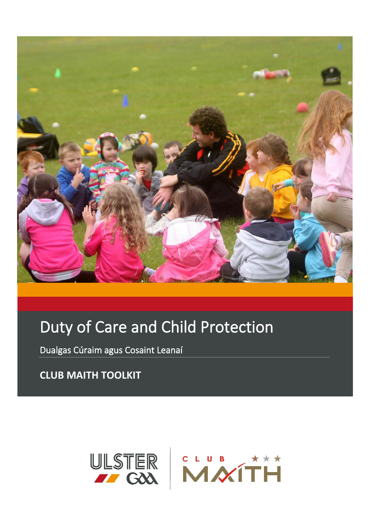

# Duty of Care and Child Protection

Dualgas Cúraim agus Cosaint Leanaí

**CLUB MAITH TOOLKIT**

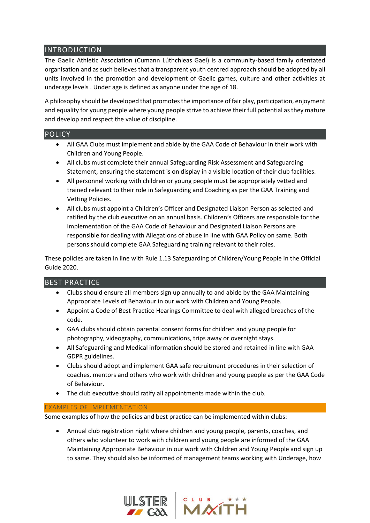## INTRODUCTION

The Gaelic Athletic Association (Cumann Lúthchleas Gael) is a community-based family orientated organisation and as such believes that a transparent youth centred approach should be adopted by all units involved in the promotion and development of Gaelic games, culture and other activities at underage levels . Under age is defined as anyone under the age of 18.

A philosophy should be developed that promotes the importance of fair play, participation, enjoyment and equality for young people where young people strive to achieve their full potential as they mature and develop and respect the value of discipline.

### **POLICY**

- All GAA Clubs must implement and abide by the GAA Code of Behaviour in their work with Children and Young People.
- All clubs must complete their annual Safeguarding Risk Assessment and Safeguarding Statement, ensuring the statement is on display in a visible location of their club facilities.
- All personnel working with children or young people must be appropriately vetted and trained relevant to their role in Safeguarding and Coaching as per the GAA Training and Vetting Policies.
- All clubs must appoint a Children's Officer and Designated Liaison Person as selected and ratified by the club executive on an annual basis. Children's Officers are responsible for the implementation of the GAA Code of Behaviour and Designated Liaison Persons are responsible for dealing with Allegations of abuse in line with GAA Policy on same. Both persons should complete GAA Safeguarding training relevant to their roles.

These policies are taken in line with Rule 1.13 Safeguarding of Children/Young People in the Official Guide 2020.

### BEST PRACTICE

- Clubs should ensure all members sign up annually to and abide by the GAA Maintaining Appropriate Levels of Behaviour in our work with Children and Young People.
- Appoint a Code of Best Practice Hearings Committee to deal with alleged breaches of the code.
- GAA clubs should obtain parental consent forms for children and young people for photography, videography, communications, trips away or overnight stays.
- All Safeguarding and Medical information should be stored and retained in line with GAA GDPR guidelines.
- Clubs should adopt and implement GAA safe recruitment procedures in their selection of coaches, mentors and others who work with children and young people as per the GAA Code of Behaviour.
- The club executive should ratify all appointments made within the club.

#### EXAMPLES OF IMPLEMENTATION

Some examples of how the policies and best practice can be implemented within clubs:

• Annual club registration night where children and young people, parents, coaches, and others who volunteer to work with children and young people are informed of the GAA Maintaining Appropriate Behaviour in our work with Children and Young People and sign up to same. They should also be informed of management teams working with Underage, how